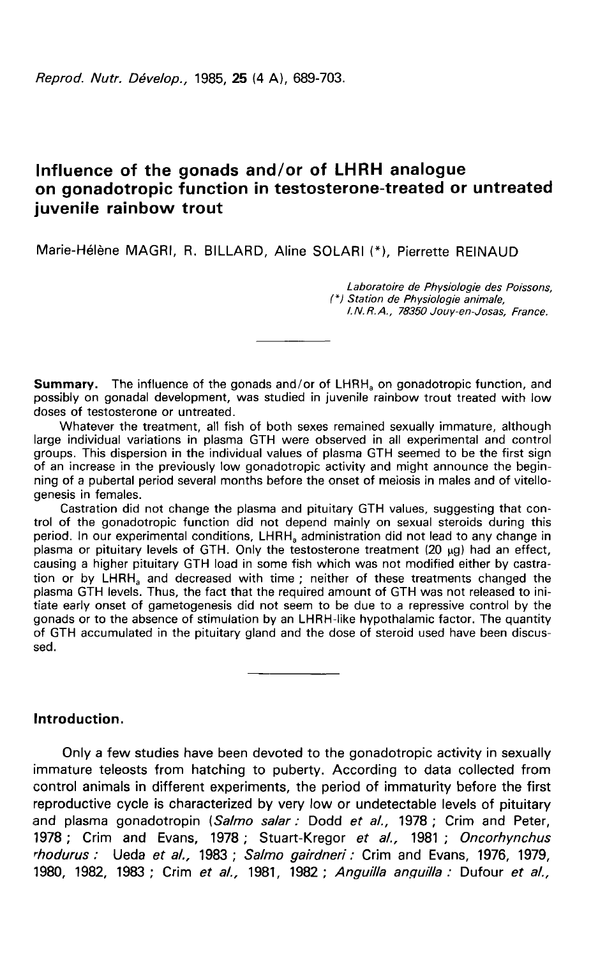# Influence of the gonads and/or of LHRH analogue<br>on gonadotropic function in testosterone-treated or untreated juvenile rainbow trout

Marie-Hélène MAGRI, R. BILLARD, Aline SOLARI (\*), Pierrette REINAUD

Laboratoire de Physiologie des Poissons, (\*) Station de Physiologie animale, l. N. R. A., 78350 Jouy-en-Josas, France.

**Summary.** The influence of the gonads and/or of LHRH<sub>a</sub> on gonadotropic function, and<br>possibly on gonadal development, was studied in juvenile rainbow trout treated with low doses of testosterone or untreated.

Whatever the treatment, all fish of both sexes remained sexually immature, although large individual variations in plasma GTH were observed in all experimental and control groups. This dispersion in the individual values of plasma GTH seemed to be the first sign of an increase in the previously low gonadotropic activity and might announce the beginning of a pubertal period several months before the onset of meiosis in males and of vitellogenesis in females.

Castration did not change the plasma and pituitary GTH values, suggesting that control of the gonadotropic function did not depend mainly on sexual steroids during this period. In our experimental conditions, LHRH<sub>a</sub> administration did not lead to any change in plasma or pituitary levels of GTH. Only the testosterone treatment (20 µg) had an effect, causing a higher pituitary GTH load in some fish which was not modified either by castra-<br>tion or by LHRH<sub>a</sub> and decreased with time causing a higher pituitary GTH load in some fish which was not modified either by castra-<br>tion or by LHRH, and decreased with time ; neither of these treatments changed the plasma GTH levels. Thus, the fact that the required amount of GTH was not released to initiate early onset of gametogenesis did not seem to be due to a repressive control by the gonads or to the absence of stimulation by an LHRH-like hypothalamic factor. The quantity of GTH accumulated in the pituitary gland and the dose of steroid used have been discussed.

# Introduction.

Only a few studies have been devoted to the gonadotropic activity in sexually immature teleosts from hatching to puberty. According to data collected from control animals in different experiments, the period of immaturity before the first reproductive cycle is characterized by very low or undetectable levels of pituitary and plasma gonadotropin (Salmo salar : Dodd et al., 1978 ; Crim and Peter, 1978 ; Crim and Evans, 1978 ; Stuart-Kregor et al., 1981 ; Oncorhynchus !hodurus : Ueda et al., 1983 ; Salmo gairdneri : Crim and Evans, 1976, 1979, 1980, 1982, 1983; Crim et al., 1981, 1982; Anguilla anguilla : Dufour et al.,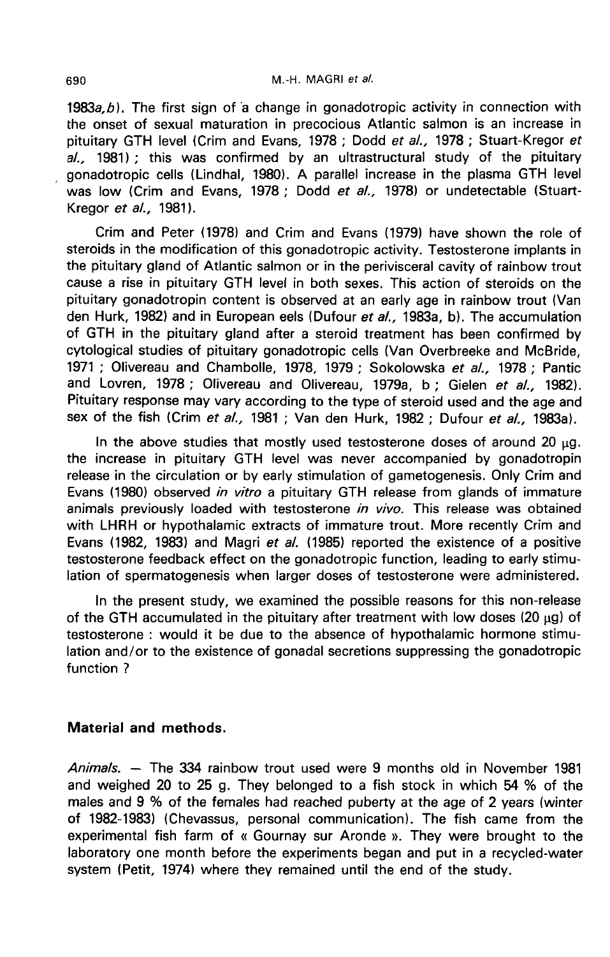1983 $a$ , b). The first sign of a change in gonadotropic activity in connection with the onset of sexual maturation in precocious Atlantic salmon is an increase in pituitary GTH level (Crim and Evans, 1978 ; Dodd et al., 1978 ; Stuart-Kregor et al., 1981); this was confirmed by an ultrastructural study of the pituitary , gonadotropic cells (Lindhal, 1980). A parallel increase in the plasma GTH level was low (Crim and Evans, 1978 ; Dodd et al., 1978) or undetectable (Stuart-Kregor et al., 1981).

Crim and Peter (1978) and Crim and Evans (1979) have shown the role of steroids in the modification of this gonadotropic activity. Testosterone implants in the pituitary gland of Atlantic salmon or in the perivisceral cavity of rainbow trout cause a rise in pituitary GTH level in both sexes. This action of steroids on the pituitary gonadotropin content is observed at an early age in rainbow trout (Van den Hurk, 1982) and in European eels (Dufour et al., 1983a, b). The accumulation of GTH in the pituitary gland after a steroid treatment has been confirmed by cytological studies of pituitary gonadotropic cells (Van Overbreeke and McBride, 1971 ; Olivereau and Chambolle, 1978, 1979 ; Sokolowska et al., 1978 ; Pantic and Lovren, 1978 ; Olivereau and Olivereau, 1979a, b ; Gielen et al., 1982). Pituitary response may vary according to the type of steroid used and the age and sex of the fish (Crim et al., 1981 ; Van den Hurk, 1982 ; Dufour et al., 1983a).

In the above studies that mostly used testosterone doses of around 20  $\mu$ g. the increase in pituitary GTH level was never accompanied by gonadotropin release in the circulation or by early stimulation of gametogenesis. Only Crim and Evans (1980) observed in vitro a pituitary GTH release from glands of immature animals previously loaded with testosterone in vivo. This release was obtained with LHRH or hypothalamic extracts of immature trout. More recently Crim and Evans (1982, 1983) and Magri et al. (1985) reported the existence of a positive testosterone feedback effect on the gonadotropic function, leading to early stimulation of spermatogenesis when larger doses of testosterone were administered.

In the present study, we examined the possible reasons for this non-release of the GTH accumulated in the pituitary after treatment with low doses (20  $\mu$ g) of testosterone : would it be due to the absence of hypothalamic hormone stimulation and/or to the existence of gonadal secretions suppressing the gonadotropic function ?

## Material and methods.

Animals. ― The 334 rainbow trout used were 9 months old in November 1981 and weighed 20 to 25 g. They belonged to a fish stock in which 54 % of the males and 9 % of the females had reached puberty at the age of 2 years (winter of 1982-1983) (Chevassus, personal communication). The fish came from the experimental fish farm of « Gournay sur Aronde ». They were brought to the laboratory one month before the experiments began and put in a recycled-water system (Petit, 1974) where they remained until the end of the study.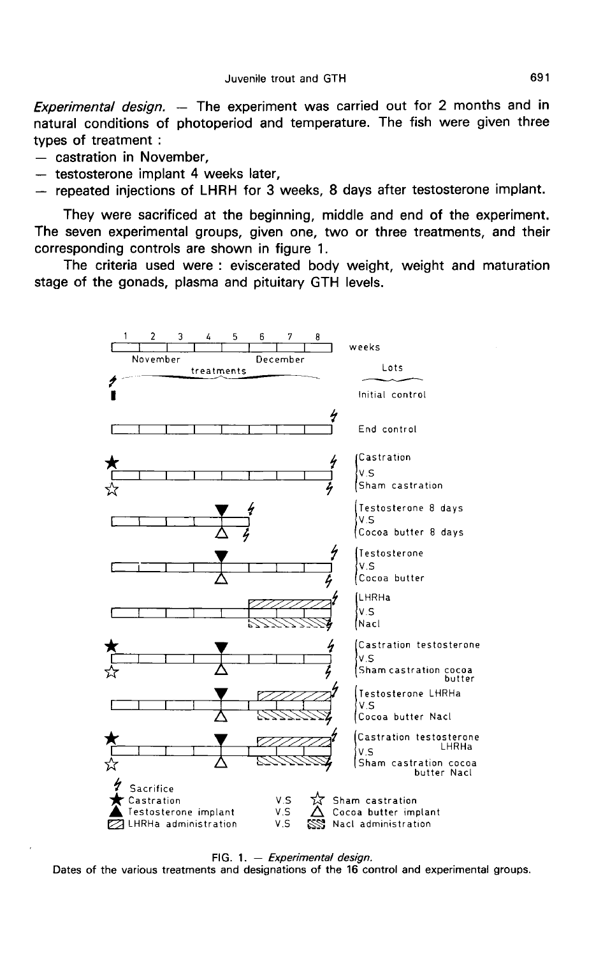Experimental design. — The experiment was carried out for 2 months and in natural conditions of photoperiod and temperature. The fish were given three types of treatment :<br>
- castration in November.

- 
- 
- testosterone implant 4 weeks later,<br>- repeated injections of LHRH for 3 weeks, 8 days after testosterone implant.

They were sacrificed at the beginning, middle and end of the experiment. The seven experimental groups, given one, two or three treatments, and their corresponding controls are shown in figure 1.

The criteria used were : eviscerated body weight, weight and maturation stage of the gonads, plasma and pituitary GTH levels.



FIG. 1.  $-$  Experimental design.

Dates of the various treatments and designations of the 16 control and experimental groups.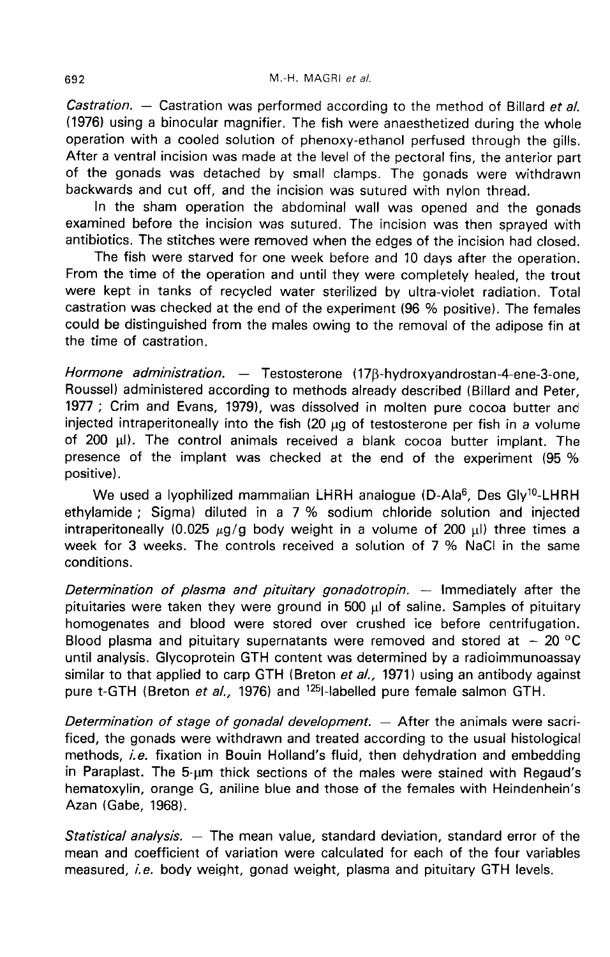Castration. - Castration was performed according to the method of Billard et al. (1976) using a binocular magnifier. The fish were anaesthetized during the whole operation with a cooled solution of phenoxy-ethanol perfused through the gills. After a ventral incision was made at the level of the pectoral fins, the anterior part of the gonads was detached by small clamps. The gonads were withdrawn backwards and cut off, and the incision was sutured with nylon thread.

In the sham operation the abdominal wall was opened and the gonads examined before the incision was sutured. The incision was then sprayed with antibiotics. The stitches were removed when the edges of the incision had closed.

The fish were starved for one week before and 10 days after the operation. From the time of the operation and until they were completely healed, the trout were kept in tanks of recycled water sterilized by ultra-violet radiation. Total castration was checked at the end of the experiment (96 % positive). The females could be distinguished from the males owing to the removal of the adipose fin at the time of castration.

Hormone administration. — Testosterone (17 $\beta$ -hydroxyandrostan-4-ene-3-one, Roussel) administered according to methods already described (Billard and Peter, 1977 ; Crim and Evans, 1979), was dissolved in molten pure cocoa butter and injected intraperitoneally into the fish  $(20 \mu q)$  of testosterone per fish in a volume of 200  $\mu$ l). The control animals received a blank cocoa butter implant. The presence of the implant was checked at the end of the experiment (95 % positive). The contract matter color in the color butter and ted intraperitoneally into the fish (20 µg of testosterone per fish in a volume 00 µl). The control animals received a blank cocoa butter implant. The sence of the implant

ethylamide ; Sigma) diluted in a 7 % sodium chloride solution and injected intraperitoneally (0.025  $\mu$ g/g body weight in a volume of 200  $\mu$ I) three times a week for 3 weeks. The controls received a solution of 7 % NaCl in the same conditions.

Determination of plasma and pituitary gonadotropin. — Immediately after the pituitaries were taken they were ground in 500  $\mu$ l of saline. Samples of pituitary homogenates and blood were stored over crushed ice before centrifugation. Blood plasma and pituitary supernatants were removed and stored at  $-20^{\circ}$ C until analysis. Glycoprotein GTH content was determined by a radioimmunoassay similar to that applied to carp GTH (Breton et al., 1971) using an antibody against pure t-GTH (Breton et al., 1976) and <sup>125</sup>l-labelled pure female salmon GTH.

Determination of stage of gonadal development.  $-$  After the animals were sacrificed, the gonads were withdrawn and treated according to the usual histological methods, i.e. fixation in Bouin Holland's fluid, then dehydration and embedding in Paraplast. The 5-um thick sections of the males were stained with Regaud's hematoxylin, orange G, aniline blue and those of the females with Heindenhein's Azan (Gabe, 1968).

Statistical analysis. — The mean value, standard deviation, standard error of the mean and coefficient of variation were calculated for each of the four variables measured, i.e. body weight, gonad weight, plasma and pituitary GTH levels.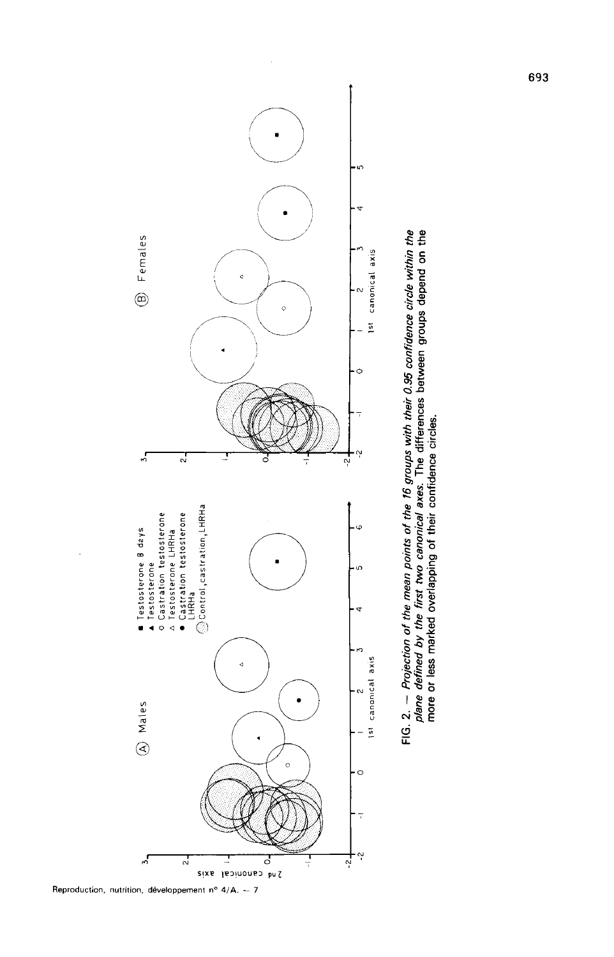

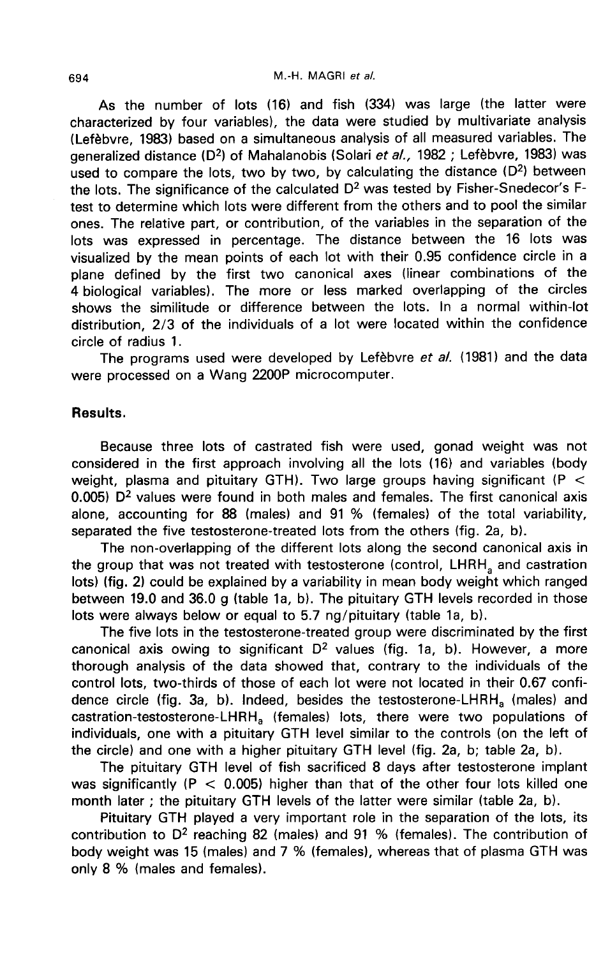As the number of lots (16) and fish (334) was large (the latter were characterized by four variables), the data were studied by multivariate analysis (Lefèbvre, 1983) based on a simultaneous analysis of all measured variables. The generalized distance (D<sup>2</sup>) of Mahalanobis (Solari et al., 1982 ; Lefèbvre, 1983) was used to compare the lots, two by two, by calculating the distance  $(D^2)$  between the lots. The significance of the calculated  $D^2$  was tested by Fisher-Snedecor's Ftest to determine which lots were different from the others and to pool the similar ones. The relative part, or contribution, of the variables in the separation of the lots was expressed in percentage. The distance between the 16 lots was visualized by the mean points of each lot with their 0.95 confidence circle in a plane defined by the first two canonical axes (linear combinations of the 4 biological variables). The more or less marked overlapping of the circles shows the similitude or difference between the lots. In a normal within-lot distribution, 2/3 of the individuals of a lot were located within the confidence circle of radius 1.

The programs used were developed by Lefebvre et al. (1981) and the data were processed on a Wang 2200P microcomputer.

# Results.

Because three lots of castrated fish were used, gonad weight was not considered in the first approach involving all the lots (16) and variables (body weight, plasma and pituitary GTH). Two large groups having significant (P  $\leq$ 0.005)  $D^2$  values were found in both males and females. The first canonical axis alone, accounting for 88 (males) and 91 % (females) of the total variability, separated the five testosterone-treated lots from the others (fig. 2a, b).

The non-overlapping of the different lots along the second canonical axis in the group that was not treated with testosterone (control, LHRH, and castration lots) (fig. 2) could be explained by a variability in mean body weight which ranged between 19.0 and 36.0 g (table 1a, b). The pituitary GTH levels recorded in those lots were always below or equal to 5.7 ng/pituitary (table 1a, b).

The five lots in the testosterone-treated group were discriminated by the first canonical axis owing to significant  $D^2$  values (fig. 1a, b). However, a more thorough analysis of the data showed that, contrary to the individuals of the control lots, two-thirds of those of each lot were not located in their 0.67 confi-<br>dence circle (fig. 3a, b). Indeed, besides the testosterone-LHRH<sub>a</sub> (males) and The non-overlapping of the different lots along the second canonical axis in<br>the group that was not treated with testosterone (control, LHRH<sub>a</sub> and castration<br>lots) (fig. 2) could be explained by a variability in mean bod weight, plasma and pituitary GTH). Two large groups having significant ( $P < 0.005$ ) D<sup>2</sup> values were found in both males and females. The first canonical axis alone, accounting for 88 (males) and 91 % (females) of the tot individuals, one with a pituitary GTH level similar to the controls (on the left of the circle) and one with a higher pituitary GTH level (fig. 2a, b; table 2a, b).

The pituitary GTH level of fish sacrificed 8 days after testosterone implant was significantly ( $P < 0.005$ ) higher than that of the other four lots killed one month later ; the pituitary GTH levels of the latter were similar (table 2a, b).

Pituitary GTH played a very important role in the separation of the lots, its contribution to  $D^2$  reaching 82 (males) and 91 % (females). The contribution of body weight was 15 (males) and 7 % (females), whereas that of plasma GTH was only 8 % (males and females).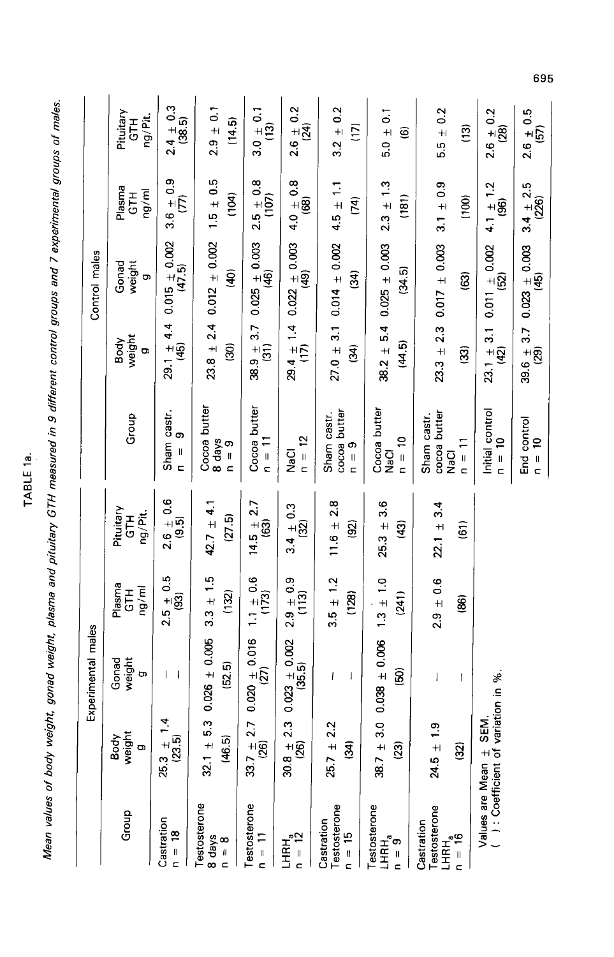| ¢<br>г |
|--------|
| ٠      |
| ш      |
|        |
| r      |
|        |
|        |

Mean values of body weight, gonad weight, plasma and pituitary GTH measured in 9 different control groups and 7 experimental groups of males.

|                    | Pituitary<br>ng/Pit.<br>5H         | $2.4 \pm 0.3$<br>(38.5)                              | $2.9 \pm 0.1$<br>(14.5)                       | $3.0 \pm 0.1$<br>$\frac{3}{2}$                        | $2.6 \pm 0.2$<br>(24)                         | $3.2 \pm 0.2$<br>E                     | $5.0 \pm 0.1$<br>$\widehat{\mathbf{e}}$                                                              | $5.5 \pm 0.2$<br>$\frac{3}{2}$                                         | $2.6 \pm 0.2$<br>(28)                        | $2.6 \pm 0.5$<br>(57)                         |
|--------------------|------------------------------------|------------------------------------------------------|-----------------------------------------------|-------------------------------------------------------|-----------------------------------------------|----------------------------------------|------------------------------------------------------------------------------------------------------|------------------------------------------------------------------------|----------------------------------------------|-----------------------------------------------|
| Control males      | Plasma<br>GTH<br>ng/ml             | $3.6 \pm 0.9$<br>Ê                                   | $1.5 \pm 0.5$<br>(104)                        | $2.5 \pm 0.8$<br>$\overline{107}$                     | $4.0 \pm 0.8$<br>(68)                         | $4.5 \pm 1.1$<br>$\tilde{P}$           | $2.3 \pm 1.3$<br>(181)                                                                               | $3.1 \pm 0.9$<br>(100)                                                 | $4.1 \pm 1.2$<br>(96)                        | $3.4 \pm 2.5$<br>(226)                        |
|                    | weight<br>Gonad<br>ō               | $29.1 \pm 4.4$ 0.015 $\pm$ 0.002<br>(45) (47.5)      | $0.012 \pm 0.002$<br>(∉                       | $38.9 \pm 3.7$ 0.025 $\pm$ 0.003<br>(31) (46)<br>(46) | $29.4 \pm 1.4$ $0.022 \pm 0.003$<br>(17) (49) | $27.0 \pm 3.1 0.014 \pm 0.002$<br>(34) | $38.2 \pm 5.4$ 0.025 $\pm$ 0.003<br>(34.5)                                                           | $23.3 \pm 2.3$ 0.017 $\pm$ 0.003<br>ශු                                 | $0.011 + 0.002$<br>$\overline{2}$            |                                               |
|                    | weight<br>Body<br>ō                |                                                      | $23.8 \pm 2.4$<br>මූ                          |                                                       |                                               | $\overline{\mathbf{3}}$                | (44.5)                                                                                               | ඹූ                                                                     | $23.1 \pm 3.1$<br>(42)                       | $39.6 \pm 3.7$ 0.023 $\pm$ 0.003<br>(29) (45) |
|                    | Group                              | Sham castr.<br>တ<br>$\mathbf{I}$<br>$\epsilon$       | Cocoa butter<br>$\frac{6}{10} = \frac{1}{10}$ | Cocoa butter<br>$n = 11$                              | $n = 12$<br><b>NaCl</b>                       | cocoa butter<br>Sham castr.<br>$n = 9$ | Cocoa butter<br>$n = 10$<br>NaCl                                                                     | cocoa butter<br>Sham castr.<br>$\overline{1}$<br>NaCl<br>$\frac{1}{2}$ | Initial control<br>$\Xi$<br>$\frac{1}{2}$    | End control<br>$\tilde{a}$<br>$\frac{1}{2}$   |
| Experimental males | Pituitary<br>ng/Pit.<br><b>H19</b> | $2.6 \pm 0.6$<br>(9.5)                               | 42.7 $\pm$ 4.1<br>(27.5)                      | 2.7<br>$14.5 \pm$<br>ලූ                               | $3.4 \pm 0.3$<br>(32)                         | $11.6 \pm 2.8$<br>$\overline{3}$       | $25.3 \pm 3.6$<br>$\left( 43\right)$                                                                 | 3.4<br>$\overline{5}$<br>$22.1 \pm$                                    |                                              |                                               |
|                    | Plasma<br>ng/ml<br>$\overline{5}$  | $2.5 \pm 0.5$<br>$\overline{3}$                      | $3.3 \pm 1.5$<br>(132)                        | $1.1 \pm 0.6$<br>(173)                                | $2.9 \pm 0.9$<br>(113)                        | $3.5 \pm 1.2$<br>(128)                 | $1.3 \pm 1.0$<br>(241)                                                                               | $2.9 \pm 0.6$<br>86)                                                   |                                              |                                               |
|                    | weight<br>Gonad<br>ö               | $\overline{\phantom{a}}$<br>$\overline{\phantom{a}}$ | 5.3 0.026 $\pm$ 0.005<br>(52.5)               | $2.7$ 0.020 $\pm$ 0.016<br>(27)                       | $2.3$ 0.023 $\pm$ 0.002<br>(35.5)             | ł<br>$\mathsf{I}$                      | $3.0$ 0.038 $\pm$ 0.006<br>$\widehat{8}$                                                             | I<br>I                                                                 | variation in %.                              |                                               |
|                    | weight<br>Body<br>O)               | $25.3 \pm 1.4$<br>(23.5)                             | (46.5)<br>$32.1 \pm$                          | $33.7 \pm$<br>$\overline{8}$                          | $30.8 \pm$<br>$\overline{\mathcal{S}}$        | 2.2<br>$25.7 \pm$<br>$\mathbf{a}$      | 38.7 ±<br>$\overline{3}$                                                                             | ္<br>$24.5 \pm$<br><u>୍ର</u>                                           | SEM.                                         |                                               |
|                    | Group                              | Castration<br>$\frac{8}{1}$<br>$\overline{a}$        | Testosterone<br>8 days<br>$\frac{8}{1}$       | Testosterone<br>;ן = ⊓                                | LHRH <sub>a</sub> $n = 12$                    | Testosterone<br>Castration<br>$n = 15$ | Testosterone<br>$\begin{array}{c}\n\mathsf{LHRH}_{\mathsf{a}} \\ \mathsf{L}=\mathsf{9}\n\end{array}$ | Testosterone<br>Castration<br>$L = 16$<br>$L = 16$                     | Values are Mean $\pm$<br>( ): Coefficient of |                                               |

695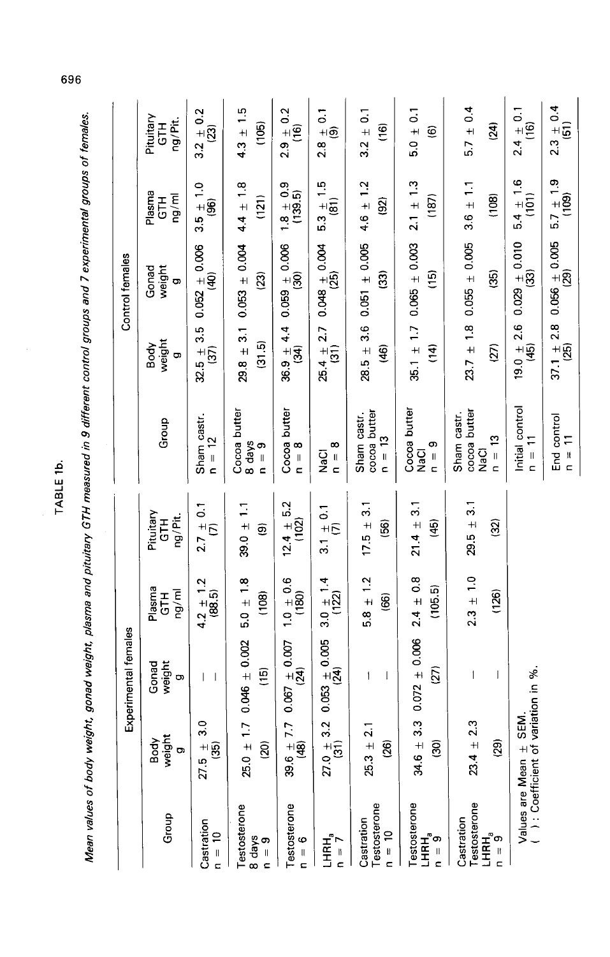| <br> <br> <br> <br>                       |  |  |
|-------------------------------------------|--|--|
| ֪ׅ֡֬֝֬֝֬֝֬֝֬֝֬֝֬֝<br>$\ddot{\phantom{0}}$ |  |  |
|                                           |  |  |
| j                                         |  |  |
| .<br>.<br>.                               |  |  |
|                                           |  |  |
|                                           |  |  |
|                                           |  |  |
|                                           |  |  |
|                                           |  |  |
|                                           |  |  |
|                                           |  |  |

TABLE 1b.

 $2.9 \pm 0.2$ <br>(16)  $2.4 \pm 0.1$ <br>(16)  $\frac{3.2\,\pm\,0.2}{(23)}$  $2.8 \pm 0.1$ <br>(9)  $5.7 \pm 0.4$  $4.3 \pm 1.5$  $3.2 \pm 0.1$  $5.0 \pm 0.1$ Pituitary<br>GTH Mean values of body weight, gonad weight, plasma and pituitary GTH measured in 9 different control groups and 7 experimental groups of females. ng/Pit.  $(105)$  $(16)$  $(24)$  $\widehat{\mathbf{e}}$  $5.4 \pm 1.6$ <br>(101)  $5.3 \pm 1.5$ <br>(81)  $3.5 \pm 1.0$ <br>(96)  $\frac{1.8 \pm 0.9}{(139.5)}$  $4.4 \pm 1.8$  $4.6 \pm 1.2$  $2.1 \pm 1.3$  $3.6 \pm 1.1$ Plasma<br>GTH ng/ml  $(108)$  $(121)$  $(187)$  $\overline{2}$  $23.7 \pm 1.8$  0.055  $\pm$  0.005  $35.1 \pm 1.7$  0.065  $\pm$  0.003  $19.0 \pm 2.6$  0.029  $\pm$  0.010<br>(45) (45)  $32.5 \pm 3.5$  0.052  $\pm$  0.066<br>(37) (40)  $29.8 \pm 3.1$  0.053  $\pm$  0.04  $25.4 \pm 2.7$  0.048  $\pm$  0.004<br>(31) (25)  $28.5 \pm 3.6$  0.051  $\pm$  0.005  $36.9 \pm 4.4$  0.059  $\pm$  0.006<br>(34) (34) Control females Gonad<br>weight  $\widehat{33}$  $(15)$  $\overline{35}$  $(23)$ o, weight  $(31.5)$ Body  $(46)$  $(14)$  $(27)$ Ģ, Initial control Sham castr.<br> $n = 12$ Cocoa butter Cocoa butter Cocoa butter cocoa butter cocoa butter Sham castr. Sham castr. Group  $n = 13$  $n = 13$  $\frac{6}{10} = \frac{10}{9}$  $n = 9$  $n = 8$  $n = 8$ ក្នុ<br>ខ NaCl NaCl  $12.4 \pm 5.2$ <br>(102)  $2.7 \pm 0.1$ <br>(7)  $3.1 \pm 0.1$ <br>(7)  $39.0 \pm 1.1$  $17.5 \pm 3.1$  $21.4\,\pm\,3.1$  $29.5 \pm 3.1$  $ng/Fit.$ Pituitary E<br>UT  $\overline{45}$  $(32)$  $\overline{56}$  $\widehat{\mathbf{e}}$  $1.0 \pm 0.6$ <br>(180)  $3.0 \pm 1.4$ <br>(122)  $4.2 \pm 1.2$ <br>(88.5)  $2.4 \pm 0.8$  $5.0\,\pm\,1.8$  $5.8 \pm 1.2$  $2.3 \pm 1.0$  $(105.5)$ Plasma<br>GTH ng/ml  $(126)$  $(108)$ ඹ Experimental females  $27.0 \pm 3.2$  0.053  $\pm$  0.005<br>(31) (24)  $25.0 \pm 1.7$  0.046  $\pm$  0.002  $34.6 \pm 3.3$  0.072  $\pm$  0.006  $39.6 \pm 7.7$  0.067  $\pm$  0.007<br>(48) (48) Gonad weight  $(27)$ Values are Mean  $\pm$  SEM.<br>( ): Coefficient of variation in %.  $\overline{15}$  $\overline{1}$  $\overline{1}$  $\bar{\rm I}$ İ  $\sigma$  $\vert \ \vert$  $\frac{0}{3}$  $23.4 \pm 2.3$  $25.3 \pm 2.1$ weight Body  $+8$ වූ  $(26)$  $\widehat{8}$ බූ  $\sigma$ 27.5 Testosterone Testosterone Testosterone Testosterone Testosterone Group Castration Castration Castration  $L = 7$  $LHRH_3$ n = 9  $n = 10$  $R = 9$ <br> $R = 8$  $n = 10$  $L = \begin{bmatrix} 1 \\ 9 \\ 9 \end{bmatrix}$  $n = 6$ 

 $2.3 \pm 0.4$ <br>(51)

 $5.7 \pm 1.9$ <br>(109)

 $37.1 \pm 2.8$  0.056  $\pm$  0.005<br>(25) (29)

End control

 $\Gamma = n$ 

 $\frac{11}{11}$ 

696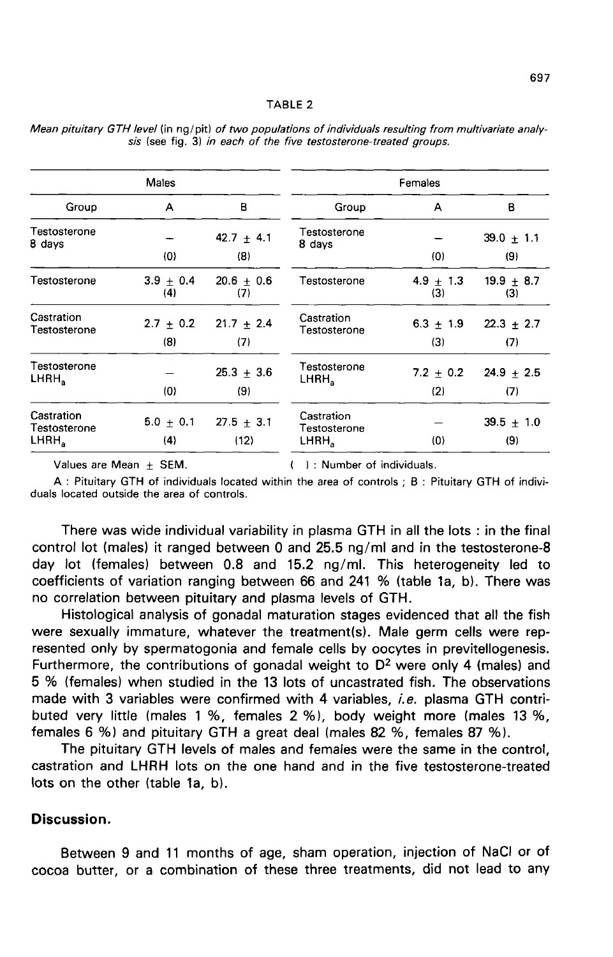#### TABLE<sub>2</sub>

|                                                 | Males                |                        | Females                                         |                      |                       |  |
|-------------------------------------------------|----------------------|------------------------|-------------------------------------------------|----------------------|-----------------------|--|
| Group                                           | A                    | в                      | Group                                           | A                    | в                     |  |
| Testosterone<br>8 days                          | (0)                  | $42.7 + 4.1$<br>(8)    | Testosterone<br>8 days                          | (0)                  | $39.0 \pm 1.1$<br>(9) |  |
| Testosterone                                    | $3.9 + 0.4$<br>(4)   | $20.6 \pm 0.6$<br>(7)  | Testosterone                                    | 4.9 $\pm$ 1.3<br>(3) | $19.9 \pm 8.7$<br>(3) |  |
| Castration<br>Testosterone                      | $2.7 \pm 0.2$<br>(8) | $21.7 \pm 2.4$<br>(7)  | Castration<br>Testosterone                      | $6.3 \pm 1.9$<br>(3) | $22.3 \pm 2.7$<br>(7) |  |
| Testosterone<br>LHRH <sub>a</sub>               | (0)                  | $25.3 + 3.6$<br>(9)    | Testosterone<br>LHRH,                           | $7.2 \pm 0.2$<br>(2) | 24.9 $\pm$ 2.5<br>(7) |  |
| Castration<br>Testosterone<br>LHRH <sub>2</sub> | $5.0 + 0.1$<br>(4)   | $27.5 \pm 3.1$<br>(12) | Castration<br>Testosterone<br>LHRH <sub>a</sub> | $\{0\}$              | $39.5 \pm 1.0$<br>(9) |  |

Mean pituitary GTH level (in ng/pit) of two populations of individuals resulting from multivariate analysis (see fig. 3) in each of the five testosterone-treated groups.

Values are Mean + SEM.

( ): Number of individuals.

A: Pituitary GTH of individuals located within the area of controls; B: Pituitary GTH of individuals located outside the area of controls.

There was wide individual variability in plasma GTH in all the lots : in the final control lot (males) it ranged between 0 and 25.5 ng/ml and in the testosterone-8 day lot (females) between 0.8 and 15.2 ng/ml. This heterogeneity led to coefficients of variation ranging between 66 and 241 % (table 1a, b). There was no correlation between pituitary and plasma levels of GTH.

Histological analysis of gonadal maturation stages evidenced that all the fish were sexually immature, whatever the treatment(s). Male germ cells were represented only by spermatogonia and female cells by oocytes in previtellogenesis. Furthermore, the contributions of gonadal weight to  $D<sup>2</sup>$  were only 4 (males) and 5 % (females) when studied in the 13 lots of uncastrated fish. The observations made with 3 variables were confirmed with 4 variables, *i.e.* plasma GTH contributed very little (males 1 %, females 2 %), body weight more (males 13 %, females 6 %) and pituitary GTH a great deal (males 82 %, females 87 %).

The pituitary GTH levels of males and females were the same in the control, castration and LHRH lots on the one hand and in the five testosterone-treated lots on the other (table 1a, b).

## Discussion.

Between 9 and 11 months of age, sham operation, injection of NaCl or of cocoa butter, or a combination of these three treatments, did not lead to any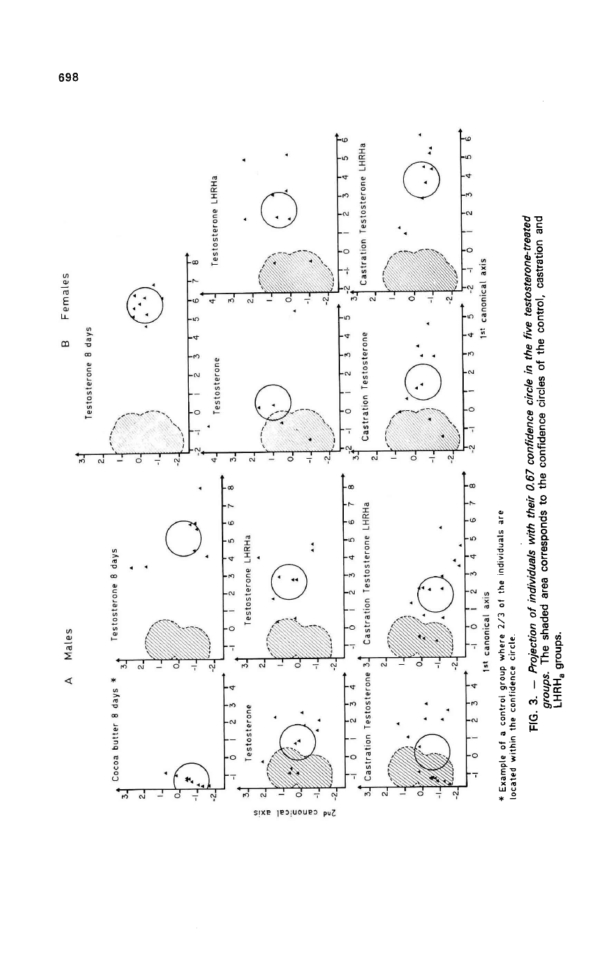

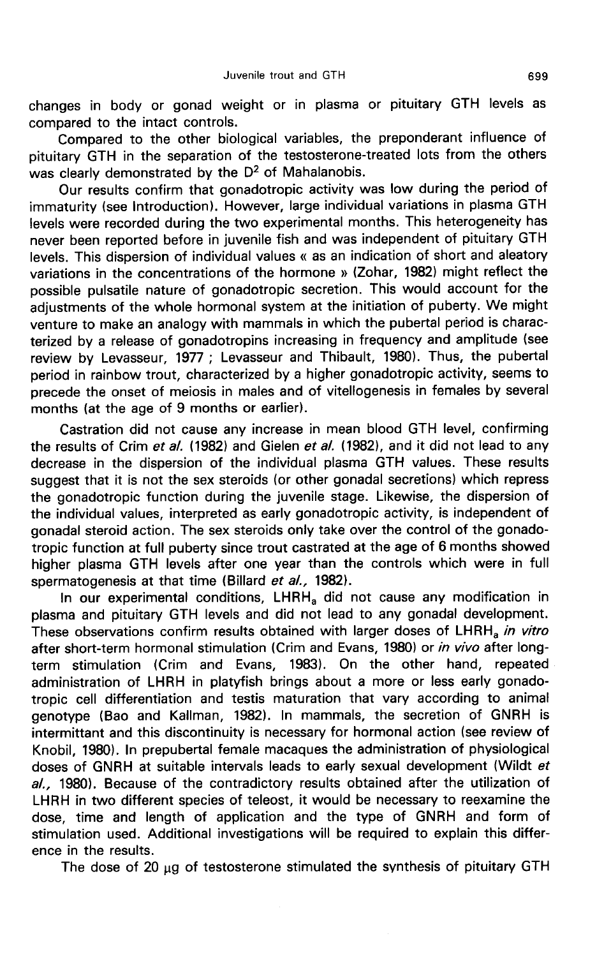changes in body or gonad weight or in plasma or pituitary GTH levels as compared to the intact controls.

Compared to the other biological variables, the preponderant influence of pituitary GTH in the separation of the testosterone-treated lots from the others was clearly demonstrated by the D<sup>2</sup> of Mahalanobis.

Our results confirm that gonadotropic activity was low during the period of immaturity (see Introduction). However, large individual variations in plasma GTH levels were recorded during the two experimental months. This heterogeneity has never been reported before in juvenile fish and was independent of pituitary GTH levels. This dispersion of individual values « as an indication of short and aleatory variations in the concentrations of the hormone » (Zohar, 1982) might reflect the possible pulsatile nature of gonadotropic secretion. This would account for the adjustments of the whole hormonal system at the initiation of puberty. We might venture to make an analogy with mammals in which the pubertal period is characterized by a release of gonadotropins increasing in frequency and amplitude (see review by Levasseur, 1977 ; Levasseur and Thibault, 1980). Thus, the pubertal period in rainbow trout, characterized by a higher gonadotropic activity, seems to precede the onset of meiosis in males and of vitellogenesis in females by several months (at the age of 9 months or earlier).

Castration did not cause any increase in mean blood GTH level, confirming the results of Crim et al. (1982) and Gielen et al. (1982), and it did not lead to any decrease in the dispersion of the individual plasma GTH values. These results suggest that it is not the sex steroids (or other gonadal secretions) which repress the gonadotropic function during the juvenile stage. Likewise, the dispersion of the individual values, interpreted as early gonadotropic activity, is independent of gonadal steroid action. The sex steroids only take over the control of the gonadotropic function at full puberty since trout castrated at the age of 6 months showed higher plasma GTH levels after one year than the controls which were in full spermatogenesis at that time (Billard *et al.,* 1982).<br>In our experimental conditions, LHRH<sub>a</sub> did not cause any modification in plasma and pitu spermatogenesis at that time (Billard et al., 1982).<br>In our experimental conditions, LHRH<sub>a</sub> did not cause any modification in

plasma and pituitary GTH levels and did not lead to any gonadal development. These observations confirm results obtained with larger doses of LHRH<sub>a</sub> in vitro after short-term hormonal stimulation (Crim and Evans, 1980) or in vivo after longterm stimulation (Crim and Evans, 1983). On the other hand, repeated administration of LHRH in platyfish brings about a more or less early gonadotropic cell differentiation and testis maturation that vary according to animal genotype (Bao and Kallman, 1982). In mammals, the secretion of GNRH is intermittant and this discontinuity is necessary for hormonal action (see review of Knobil, 1980). In prepubertal female macaques the administration of physiological doses of GNRH at suitable intervals leads to early sexual development (Wildt et al., 1980). Because of the contradictory results obtained after the utilization of LHRH in two different species of teleost, it would be necessary to reexamine the dose, time and length of application and the type of GNRH and form of stimulation used. Additional investigations will be required to explain this difference in the results.

The dose of 20  $\mu$ g of testosterone stimulated the synthesis of pituitary GTH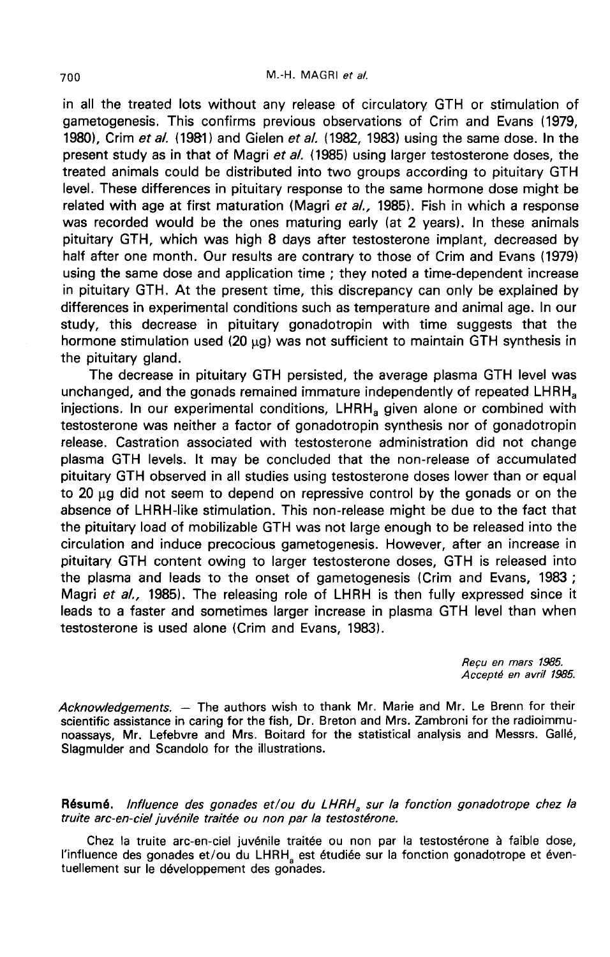in all the treated lots without any release of circulatory GTH or stimulation of gametogenesis. This confirms previous observations of Crim and Evans (1979, 1980), Crim et al. (1981) and Gielen et al. (1982, 1983) using the same dose. In the present study as in that of Magri et al. (1985) using larger testosterone doses, the treated animals could be distributed into two groups according to pituitary GTH level. These differences in pituitary response to the same hormone dose might be related with age at first maturation (Magri et  $a/$ , 1985). Fish in which a response was recorded would be the ones maturing early (at 2 years). In these animals pituitary GTH, which was high 8 days after testosterone implant, decreased by half after one month. Our results are contrary to those of Crim and Evans (1979) using the same dose and application time ; they noted a time-dependent increase in pituitary GTH. At the present time, this discrepancy can only be explained by differences in experimental conditions such as temperature and animal age. In our study, this decrease in pituitary gonadotropin with time suggests that the hormone stimulation used (20  $\mu$ g) was not sufficient to maintain GTH synthesis in the pituitary gland.

The decrease in pituitary GTH persisted, the average plasma GTH level was The pituitary gland.<br>
The decrease in pituitary GTH persisted, the average plasma GTH level was<br>
unchanged, and the gonads remained immature independently of repeated LHRH<sub>a</sub><br>
injections. In our experimental conditions. LH ing premaring grands in pituitary GTH persisted, the average plasma GTH level was<br>unchanged, and the gonads remained immature independently of repeated LHRH<sub>a</sub><br>injections. In our experimental conditions, LHRH<sub>a</sub> given alon testosterone was neither a factor of gonadotropin synthesis nor of gonadotropin release. Castration associated with testosterone administration did not change plasma GTH levels. It may be concluded that the non-release of accumulated pituitary GTH observed in all studies using testosterone doses lower than or equal to  $20 \mu g$  did not seem to depend on repressive control by the gonads or on the absence of LHRH-like stimulation. This non-release might be due to the fact that the pituitary load of mobilizable GTH was not large enough to be released into the circulation and induce precocious gametogenesis. However, after an increase in pituitary GTH content owing to larger testosterone doses, GTH is released into the plasma and leads to the onset of gametogenesis (Crim and Evans, 1983 ; Magri et al., 1985). The releasing role of LHRH is then fully expressed since it leads to a faster and sometimes larger increase in plasma GTH level than when testosterone is used alone (Crim and Evans, 1983).

> Recu en mars 1985. Accept6 en avril 1985.

Acknowledgements. - The authors wish to thank Mr. Marie and Mr. Le Brenn for their scientific assistance in caring for the fish, Dr. Breton and Mrs. Zambroni for the radioimmunoassays, Mr. Lefebvre and Mrs. Boitard for the statistical analysis and Messrs. GaII6, Slagmulder and Scandolo for the illustrations.

Résumé. Influence des gonades et/ou du LHRH<sub>a</sub> sur la fonction gonadotrope chez la truite arc-en-ciel juvénile traitée ou non par la testostérone.

Chez la truite arc-en-ciel juvénile traitée ou non par la testostérone à faible dose, l'influence des gonades et/ou du LHRH, est étudiée sur la fonction gonadotrope et éventuellement sur le développement des gonades.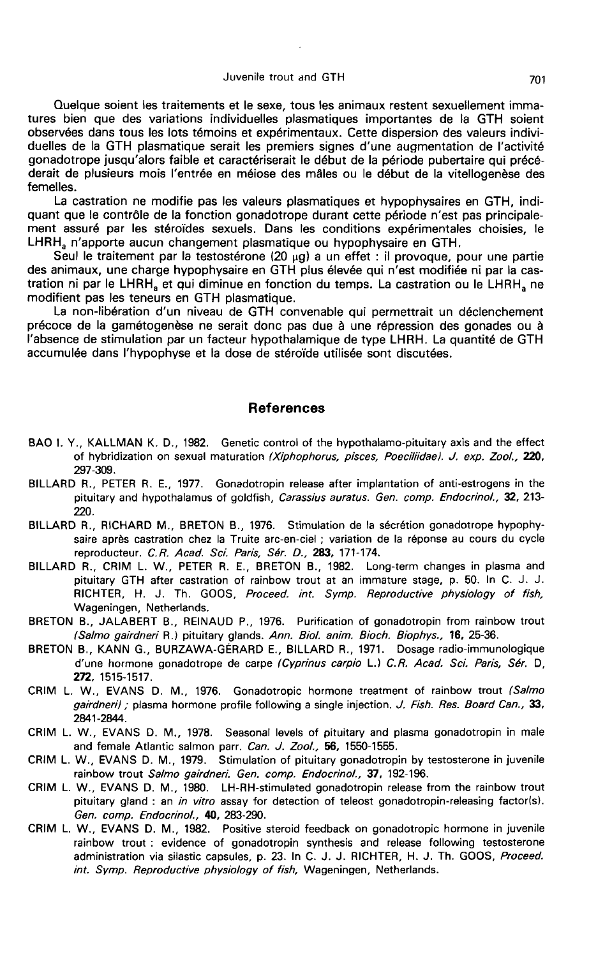#### Juvenile trout and GTH

Quelque soient les traitements et le sexe, tous les animaux restent sexuellement immatures bien que des variations individuelles plasmatiques importantes de la GTH soient observées dans tous les lots témoins et expérimentaux. Cette dispersion des valeurs individuelles de la GTH plasmatique serait les premiers signes d'une augmentation de l'activité gonadotrope jusqu'alors faible et caractériserait le début de la période pubertaire qui précéderait de plusieurs mois l'entrée en méiose des mâles ou le début de la vitellogenèse des femelles.

La castration ne modifie pas les valeurs plasmatiques et hypophysaires en GTH, indi-La castration ne modifie pas les valeurs plasmatiques et nypophysaires en GTH, indi-<br>quant que le contrôle de la fonction gonadotrope durant cette période n'est pas principale-<br>ment assuré par les stéroïdes sexuels. Dans

Seul le traitement par la testostérone  $(20 \mu q)$  a un effet : il provoque, pour une partie des animaux, une charge hypophysaire en GTH plus élevée qui n'est modifiée ni par la cas-Seul le tratiement par la testostérone  $(20 \mu g)$  a un effet : il provoque, pour une partie<br>des animaux, une charge hypophysaire en GTH plus élevée qui n'est modifiée ni par la cas-<br>tration ni par le LHRH<sub>a</sub> et qui diminue modifient pas les teneurs en GTH plasmatique.

La non-libération d'un niveau de GTH convenable qui permettrait un déclenchement précoce de la gamétogenèse ne serait donc pas due à une répression des gonades ou à l'absence de stimulation par un facteur hypothalamique de type LHRH, La quantité de GTH accumulée dans l'hypophyse et la dose de stéroïde utilisée sont discutées.

### References

- BAO I. Y., KALLMAN K. D., 1982. Genetic control of the hypothalamo-pituitary axis and the effect of hybridization on sexual maturation (Xiphophorus, pisces, Poeciliidae). J. exp. Zool., 220, 297-309.
- BILLARD R., PETER R. E., 1977. Gonadotropin release after implantation of anti-estrogens in the pituitary and hypothalamus of goldfish, Carassius auratus. Gen. comp. Endocrinol., 32, 213-220.
- BILLARD R., RICHARD M., BRETON B., 1976. Stimulation de la secretion gonadotrope hypophysaire après castration chez la Truite arc-en-ciel ; variation de la réponse au cours du cycle reproducteur. C.R. Acad. Sci. Paris, Sér. D., 283, 171-174.
- BILLARD R., CRIM L. W., PETER R. E., BRETON B., 1982. Long-term changes in plasma and pituitary GTH after castration of rainbow trout at an immature stage, p. 50. In C. J. J. RICHTER, H. J. Th. GOOS, Proceed. int. Symp. Reproductive physiology of fish, Wageningen, Netherlands.
- BRETON B., JALABERT B., REINAUD P., 1976. Purification of gonadotropin from rainbow trout (Salmo gairdneri R.) pituitary glands. Ann. Biol. anim. Bioch. Biophys., 16, 25-36.
- BRETON B., KANN G., BURZAWA-GERARD E., BILLARD R., 1971. Dosage radio-immunologique d'une hormone gonadotrope de carpe (Cyprinus carpio L.) C.R. Acad. Sci. Paris, Sér. D, 272, 1515-1517.
- CRIM L. W., EVANS D. M., 1976. Gonadotropic hormone treatment of rainbow trout (Salmo gairdneri) ; plasma hormone profile following a single injection. J. Fish. Res. Board Can., 33, 2841-2844.
- CRIM L. W., EVANS D. M., 1978. Seasonal levels of pituitary and plasma gonadotropin in male and female Atlantic salmon parr. Can. J. Zool., 56, 1550-1555.
- CRIM L. W., EVANS D. M., 1979. Stimulation of pituitary gonadotropin by testosterone in juvenile rainbow trout Salmo gairdneri. Gen. comp. Endocrinol., 37, 192-196.
- CRIM L. W., EVANS D. M., 1980. LH-RH-stimulated gonadotropin release from the rainbow trout pituitary gland : an in vitro assay for detection of teleost gonadotropin-releasing factor(s). Gen. comp. Endocrinol., 40, 283-290.
- CRIM L. W., EVANS D. M., 1982. Positive steroid feedback on gonadotropic hormone in juvenile rainbow trout : evidence of gonadotropin synthesis and release following testosterone administration via silastic capsules, p. 23. In C. J. J. RICHTER, H. J. Th. GOOS, Proceed. int. Symp. Reproductive physiology of fish, Wageningen, Netherlands.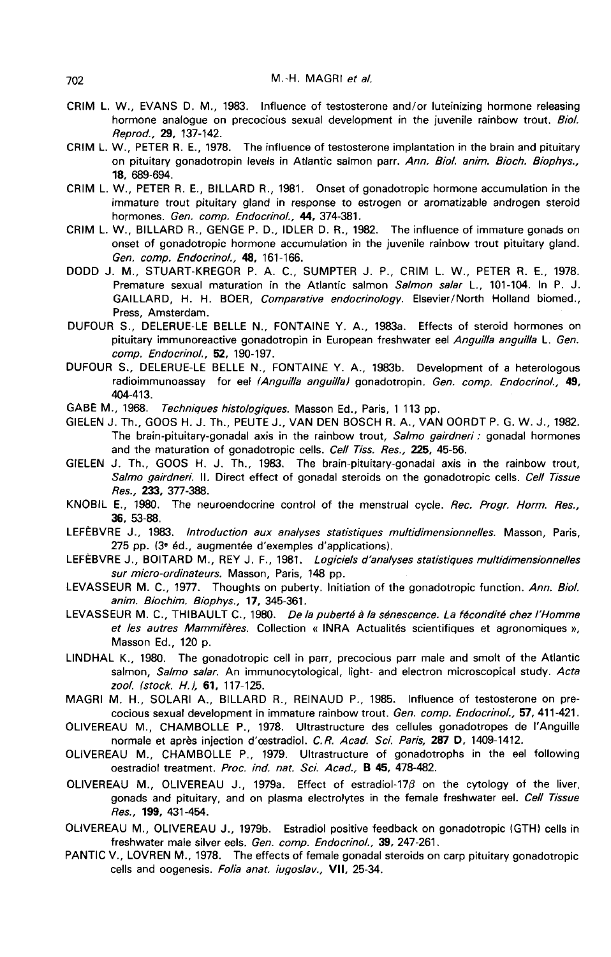- CRIM L. W., EVANS D. M., 1983. Influence of testosterone and/or luteinizing hormone releasing hormone analogue on precocious sexual development in the juvenile rainbow trout. Biol. Reprod., 29, 137-142.
- CRIM L. W., PETER R. E., 1978. The influence of testosterone implantation in the brain and pituitary on pituitary gonadotropin levels in Atlantic salmon parr. Ann. Biol. anim. Bioch. Biophys., 18, 689-694.
- CRIM L. W., PETER R. E., BILLARD R., 1981. Onset of gonadotropic hormone accumulation in the immature trout pituitary gland in response to estrogen or aromatizable androgen steroid hormones. Gen. comp. Endocrinol., 44, 374-381.
- CRIM L. W., BILLARD R., GENGE P. D., IDLER D. R., 1982. The influence of immature gonads on onset of gonadotropic hormone accumulation in the juvenile rainbow trout pituitary gland. Gen. comp. Endocrinol., 48, 161-166.
- DODD J. M., STUART-KREGOR P. A. C., SUMPTER J. P., CRIM L. W., PETER R. E., 1978. Premature sexual maturation in the Atlantic salmon Salmon salar L., 101-104. In P. J. GAILLARD, H. H. BOER, Comparative endocrinology. Elsevier/North Holland biomed., Press, Amsterdam.
- DUFOUR S., DELERUE-LE BELLE N., FONTAINE Y. A., 1983a. Effects of steroid hormones on pituitary immunoreactive gonadotropin in European freshwater eel Anguilla anguilla L. Gen. comp. Endocrinol., 52, 190-197.
- DUFOUR S., DELERUE-LE BELLE N., FONTAINE Y. A., 1983b. Development of a heterologous radioimmunoassay for eel (Anguilla anguilla) gonadotropin. Gen. comp. Endocrinol., 49, 404-413.

GABE M., 1968. Techniques histologiques. Masson Ed., Paris, 1 113 pp.

- GIELEN J. Th., GOOS H. J. Th., PEUTE J., VAN DEN BOSCH R. A., VAN OORDT P. G. W. J., 1982. The brain-pituitary-gonadal axis in the rainbow trout, Salmo gairdneri : gonadal hormones and the maturation of gonadotropic cells. Cell Tiss. Res., 225, 45-56.
- GIELEN J. Th., GOOS H. J. Th., 1983. The brain-pituitary-gonadal axis in the rainbow trout, Salmo gairdneri. II. Direct effect of gonadal steroids on the gonadotropic cells. Cell Tissue Res., 233, 377-388.
- KNOBIL E., 1980. The neuroendocrine control of the menstrual cycle. Rec. Progr. Horm. Res., 36, 53-88.
- LEFEBVRE J., 1983. Introduction aux analyses statistiques multidimensionnelles. Masson, Paris, 275 pp. (3<sup>e</sup> éd., augmentée d'exemples d'applications).
- LEFEBVRE J., BOITARD M., REY J. F., 1981. Logiciels d'analyses statistiques multidimensionnelles sur micro-ordinateurs. Masson, Paris, 148 pp.
- LEVASSEUR M. C., 1977. Thoughts on puberty. Initiation of the gonadotropic function. Ann. Biol. anim. Biochim. Biophys., 17, 345-361.
- LEVASSEUR M. C., THIBAULT C., 1980. De la puberté à la sénescence. La fécondité chez l'Homme et les autres Mammifères. Collection « INRA Actualités scientifiques et agronomiques », Masson Ed., 120 p.
- LINDHAL K., 1980. The gonadotropic cell in parr, precocious parr male and smolt of the Atlantic salmon, Salmo salar. An immunocytological, light- and electron microscopical study. Acta zool. (stock. H.J, 61, 117-125.
- MAGRI M. H., SOLARI A., BILLARD R., REINAUD P., 1985. Influence of testosterone on precocious sexual development in immature rainbow trout. Gen. comp. Endocrinol., 57, 411-421.
- OLIVEREAU M., CHAMBOLLE P., 1978. Ultrastructure des cellules gonadotropes de I'Anguille normale et après injection d'œstradiol. C.R. Acad. Sci. Paris, 287 D, 1409-1412.
- OLIVEREAU M., CHAMBOLLE P., 1979. Ultrastructure of gonadotrophs in the eel following oestradiol treatment. Proc. ind. nat. Sci. Acad., B 45, 478-482.
- OLIVEREAU M., OLIVEREAU J., 1979a. Effect of estradiol-170 on the cytology of the liver, gonads and pituitary, and on plasma electrolytes in the female freshwater eel. Cell Tissue Res., 199, 431-454.
- OLIVEREAU M., OLIVEREAU J., 1979b. Estradiol positive feedback on gonadotropic (GTH) cells in freshwater male silver eels. Gen. comp. Endocrinol., 39, 247-261.
- PANTIC V., LOVREN M., 1978. The effects of female gonadal steroids on carp pituitary gonadotropic cells and oogenesis. Folia anat. iugoslav., VII, 25-34.